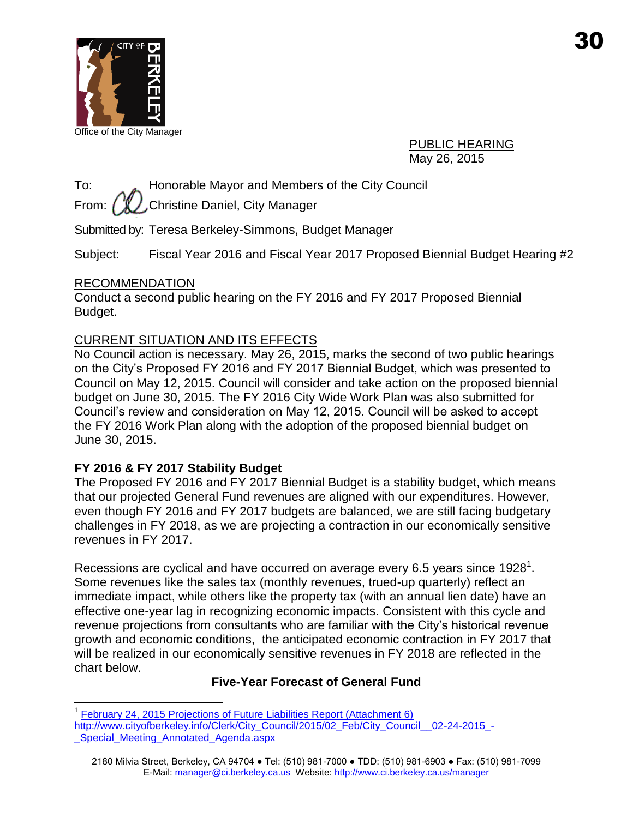

Office of the City Manager

PUBLIC HEARING May 26, 2015

To: Honorable Mayor and Members of the City Council

From:  $\ell \mathcal{L}$  Christine Daniel, City Manager

Submitted by: Teresa Berkeley-Simmons, Budget Manager

Subject: Fiscal Year 2016 and Fiscal Year 2017 Proposed Biennial Budget Hearing #2

### RECOMMENDATION

 $\overline{a}$ 

Conduct a second public hearing on the FY 2016 and FY 2017 Proposed Biennial Budget.

### CURRENT SITUATION AND ITS EFFECTS

No Council action is necessary. May 26, 2015, marks the second of two public hearings on the City's Proposed FY 2016 and FY 2017 Biennial Budget, which was presented to Council on May 12, 2015. Council will consider and take action on the proposed biennial budget on June 30, 2015. The FY 2016 City Wide Work Plan was also submitted for Council's review and consideration on May 12, 2015. Council will be asked to accept the FY 2016 Work Plan along with the adoption of the proposed biennial budget on June 30, 2015.

### **FY 2016 & FY 2017 Stability Budget**

The Proposed FY 2016 and FY 2017 Biennial Budget is a stability budget, which means that our projected General Fund revenues are aligned with our expenditures. However, even though FY 2016 and FY 2017 budgets are balanced, we are still facing budgetary challenges in FY 2018, as we are projecting a contraction in our economically sensitive revenues in FY 2017.

Recessions are cyclical and have occurred on average every 6.5 years since 1928<sup>1</sup>. Some revenues like the sales tax (monthly revenues, trued-up quarterly) reflect an immediate impact, while others like the property tax (with an annual lien date) have an effective one-year lag in recognizing economic impacts. Consistent with this cycle and revenue projections from consultants who are familiar with the City's historical revenue growth and economic conditions, the anticipated economic contraction in FY 2017 that will be realized in our economically sensitive revenues in FY 2018 are reflected in the chart below.

### **Five-Year Forecast of General Fund**

<sup>1</sup> [February 24, 2015 Projections of Future Liabilities Report \(Attachment 6\)](http://www.cityofberkeley.info/Clerk/City_Council/2015/02_Feb/City_Council__02-24-2015_-_Special_Meeting_Annotated_Agenda.aspx)  [http://www.cityofberkeley.info/Clerk/City\\_Council/2015/02\\_Feb/City\\_Council\\_\\_02-24-2015\\_-](http://www.cityofberkeley.info/Clerk/City_Council/2015/02_Feb/City_Council__02-24-2015_-_Special_Meeting_Annotated_Agenda.aspx) [\\_Special\\_Meeting\\_Annotated\\_Agenda.aspx](http://www.cityofberkeley.info/Clerk/City_Council/2015/02_Feb/City_Council__02-24-2015_-_Special_Meeting_Annotated_Agenda.aspx)

<sup>2180</sup> Milvia Street, Berkeley, CA 94704 ● Tel: (510) 981-7000 ● TDD: (510) 981-6903 ● Fax: (510) 981-7099 E-Mail: manager@ci.berkeley.ca.us Website: http://www.ci.berkeley.ca.us/manager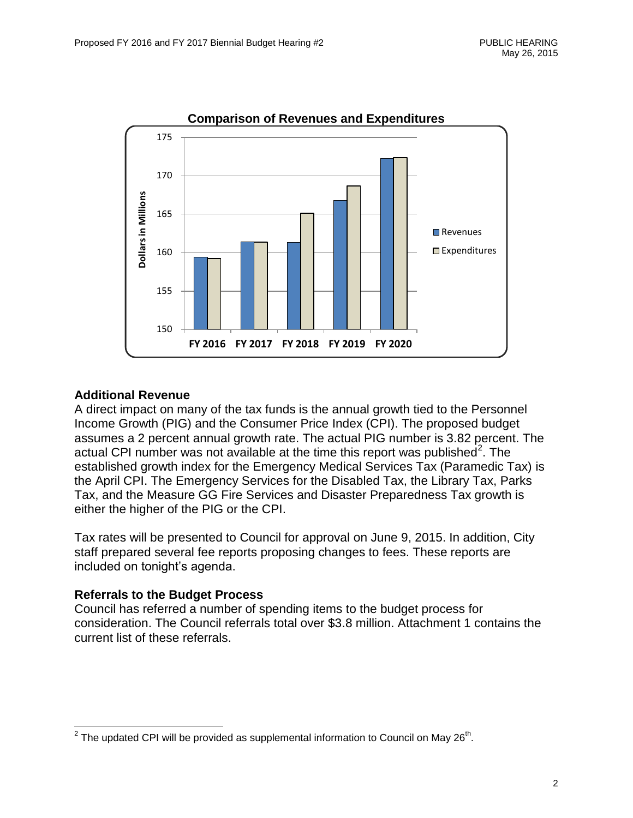

### **Additional Revenue**

A direct impact on many of the tax funds is the annual growth tied to the Personnel Income Growth (PIG) and the Consumer Price Index (CPI). The proposed budget assumes a 2 percent annual growth rate. The actual PIG number is 3.82 percent. The actual CPI number was not available at the time this report was published<sup>2</sup>. The established growth index for the Emergency Medical Services Tax (Paramedic Tax) is the April CPI. The Emergency Services for the Disabled Tax, the Library Tax, Parks Tax, and the Measure GG Fire Services and Disaster Preparedness Tax growth is either the higher of the PIG or the CPI.

Tax rates will be presented to Council for approval on June 9, 2015. In addition, City staff prepared several fee reports proposing changes to fees. These reports are included on tonight's agenda.

#### **Referrals to the Budget Process**

Council has referred a number of spending items to the budget process for consideration. The Council referrals total over \$3.8 million. Attachment 1 contains the current list of these referrals.

 2 The updated CPI will be provided as supplemental information to Council on May 26th .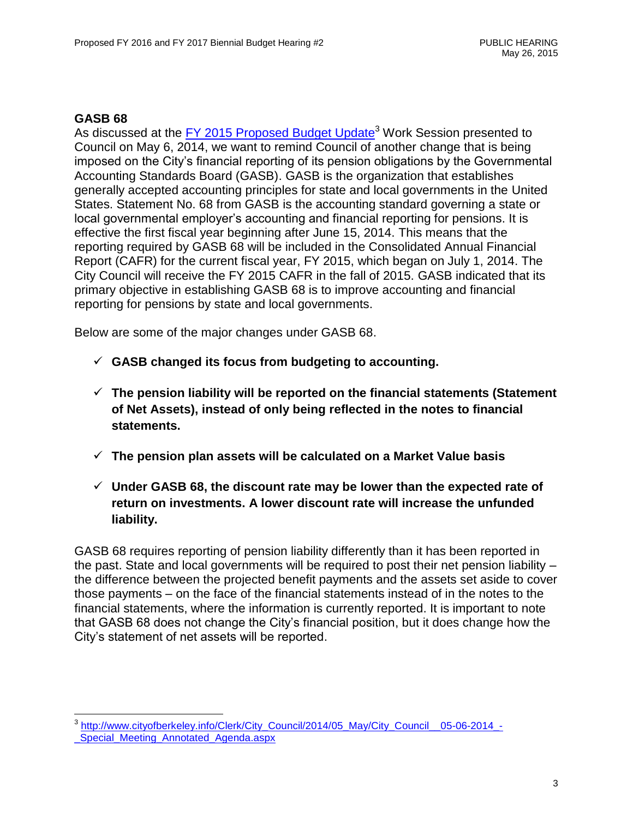### **GASB 68**

As discussed at the [FY 2015 Proposed Budget Update](http://www.cityofberkeley.info/Clerk/City_Council/2014/05_May/City_Council__05-06-2014_-_Special_Meeting_Annotated_Agenda.aspx)<sup>3</sup> Work Session presented to Council on May 6, 2014, we want to remind Council of another change that is being imposed on the City's financial reporting of its pension obligations by the Governmental Accounting Standards Board (GASB). GASB is the organization that establishes generally accepted accounting principles for state and local governments in the United States. Statement No. 68 from GASB is the accounting standard governing a state or local governmental employer's accounting and financial reporting for pensions. It is effective the first fiscal year beginning after June 15, 2014. This means that the reporting required by GASB 68 will be included in the Consolidated Annual Financial Report (CAFR) for the current fiscal year, FY 2015, which began on July 1, 2014. The City Council will receive the FY 2015 CAFR in the fall of 2015. GASB indicated that its primary objective in establishing GASB 68 is to improve accounting and financial reporting for pensions by state and local governments.

Below are some of the major changes under GASB 68.

- **GASB changed its focus from budgeting to accounting.**
- **The pension liability will be reported on the financial statements (Statement of Net Assets), instead of only being reflected in the notes to financial statements.**
- **The pension plan assets will be calculated on a Market Value basis**
- **Under GASB 68, the discount rate may be lower than the expected rate of return on investments. A lower discount rate will increase the unfunded liability.**

GASB 68 requires reporting of pension liability differently than it has been reported in the past. State and local governments will be required to post their net pension liability – the difference between the projected benefit payments and the assets set aside to cover those payments – on the face of the financial statements instead of in the notes to the financial statements, where the information is currently reported. It is important to note that GASB 68 does not change the City's financial position, but it does change how the City's statement of net assets will be reported.

 3 [http://www.cityofberkeley.info/Clerk/City\\_Council/2014/05\\_May/City\\_Council\\_\\_05-06-2014\\_-](http://www.cityofberkeley.info/Clerk/City_Council/2014/05_May/City_Council__05-06-2014_-_Special_Meeting_Annotated_Agenda.aspx) Special Meeting Annotated Agenda.aspx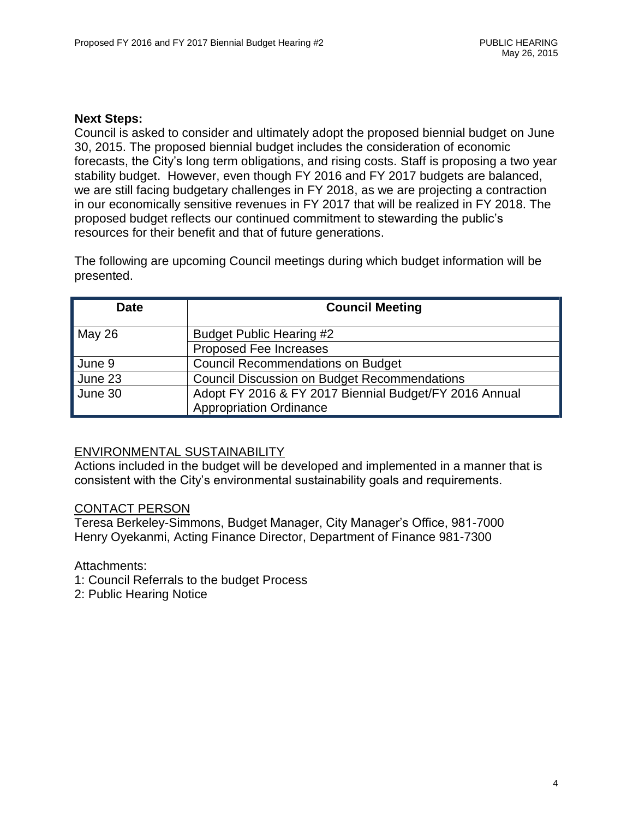#### **Next Steps:**

Council is asked to consider and ultimately adopt the proposed biennial budget on June 30, 2015. The proposed biennial budget includes the consideration of economic forecasts, the City's long term obligations, and rising costs. Staff is proposing a two year stability budget. However, even though FY 2016 and FY 2017 budgets are balanced, we are still facing budgetary challenges in FY 2018, as we are projecting a contraction in our economically sensitive revenues in FY 2017 that will be realized in FY 2018. The proposed budget reflects our continued commitment to stewarding the public's resources for their benefit and that of future generations.

The following are upcoming Council meetings during which budget information will be presented.

| <b>Date</b> | <b>Council Meeting</b>                                                                   |
|-------------|------------------------------------------------------------------------------------------|
| May 26      | <b>Budget Public Hearing #2</b>                                                          |
|             | <b>Proposed Fee Increases</b>                                                            |
| June 9      | <b>Council Recommendations on Budget</b>                                                 |
| June 23     | <b>Council Discussion on Budget Recommendations</b>                                      |
| June 30     | Adopt FY 2016 & FY 2017 Biennial Budget/FY 2016 Annual<br><b>Appropriation Ordinance</b> |

#### ENVIRONMENTAL SUSTAINABILITY

Actions included in the budget will be developed and implemented in a manner that is consistent with the City's environmental sustainability goals and requirements.

#### CONTACT PERSON

Teresa Berkeley-Simmons, Budget Manager, City Manager's Office, 981-7000 Henry Oyekanmi, Acting Finance Director, Department of Finance 981-7300

Attachments:

- 1: Council Referrals to the budget Process
- 2: Public Hearing Notice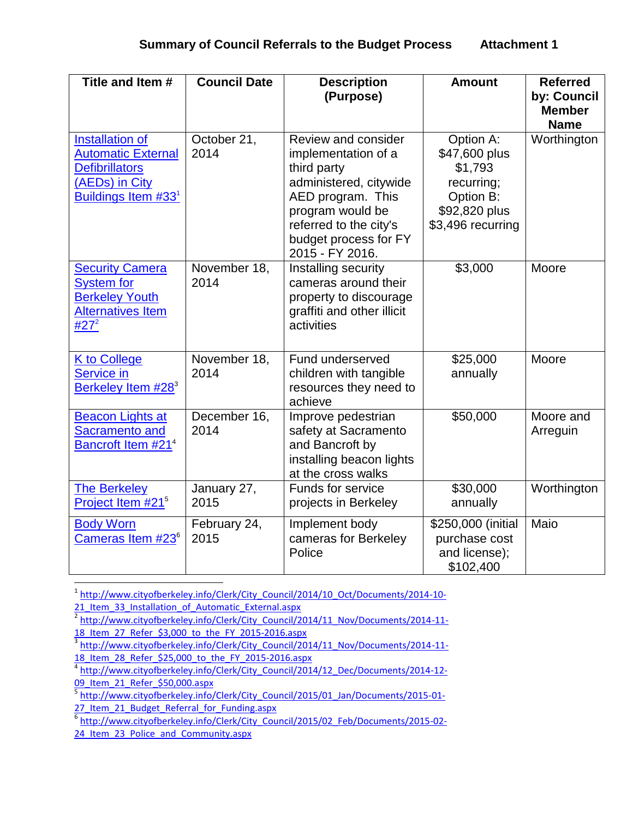| Title and Item #                                                                                                      | <b>Council Date</b>  | <b>Description</b><br>(Purpose)                                                                                                                                                                           | <b>Amount</b>                                                                                          | <b>Referred</b><br>by: Council<br><b>Member</b><br><b>Name</b> |
|-----------------------------------------------------------------------------------------------------------------------|----------------------|-----------------------------------------------------------------------------------------------------------------------------------------------------------------------------------------------------------|--------------------------------------------------------------------------------------------------------|----------------------------------------------------------------|
| <b>Installation of</b><br><b>Automatic External</b><br><b>Defibrillators</b><br>(AEDs) in City<br>Buildings Item #331 | October 21,<br>2014  | <b>Review and consider</b><br>implementation of a<br>third party<br>administered, citywide<br>AED program. This<br>program would be<br>referred to the city's<br>budget process for FY<br>2015 - FY 2016. | Option A:<br>\$47,600 plus<br>\$1,793<br>recurring;<br>Option B:<br>\$92,820 plus<br>\$3,496 recurring | Worthington                                                    |
| <b>Security Camera</b><br><b>System for</b><br><b>Berkeley Youth</b><br><b>Alternatives Item</b><br>#27 <sup>2</sup>  | November 18,<br>2014 | Installing security<br>cameras around their<br>property to discourage<br>graffiti and other illicit<br>activities                                                                                         | \$3,000                                                                                                | Moore                                                          |
| K to College<br><b>Service in</b><br>Berkeley Item #28 <sup>3</sup>                                                   | November 18,<br>2014 | Fund underserved<br>children with tangible<br>resources they need to<br>achieve                                                                                                                           | \$25,000<br>annually                                                                                   | Moore                                                          |
| <b>Beacon Lights at</b><br><b>Sacramento and</b><br>Bancroft Item #214                                                | December 16,<br>2014 | Improve pedestrian<br>safety at Sacramento<br>and Bancroft by<br>installing beacon lights<br>at the cross walks                                                                                           | \$50,000                                                                                               | Moore and<br>Arreguin                                          |
| <b>The Berkeley</b><br>Project Item #21 <sup>5</sup>                                                                  | January 27,<br>2015  | Funds for service<br>projects in Berkeley                                                                                                                                                                 | \$30,000<br>annually                                                                                   | Worthington                                                    |
| <b>Body Worn</b><br>Cameras Item #23 <sup>6</sup>                                                                     | February 24,<br>2015 | Implement body<br>cameras for Berkeley<br>Police                                                                                                                                                          | \$250,000 (initial<br>purchase cost<br>and license);<br>\$102,400                                      | Maio                                                           |

<sup>1</sup> [http://www.cityofberkeley.info/Clerk/City\\_Council/2014/10\\_Oct/Documents/2014-10-](http://www.cityofberkeley.info/Clerk/City_Council/2014/10_Oct/Documents/2014-10-21_Item_33_Installation_of_Automatic_External.aspx) 21 Item 33 Installation of Automatic External.aspx

l

<sup>&</sup>lt;sup>2</sup> [http://www.cityofberkeley.info/Clerk/City\\_Council/2014/11\\_Nov/Documents/2014-11-](http://www.cityofberkeley.info/Clerk/City_Council/2014/11_Nov/Documents/2014-11-18_Item_27_Refer_$3,000_to_the_FY_2015-2016.aspx) 18 Item\_27 Refer \$3,000 to the FY\_2015-2016.aspx

<sup>&</sup>lt;sup>3</sup> [http://www.cityofberkeley.info/Clerk/City\\_Council/2014/11\\_Nov/Documents/2014-11-](http://www.cityofberkeley.info/Clerk/City_Council/2014/11_Nov/Documents/2014-11-18_Item_28_Refer_$25,000_to_the_FY_2015-2016.aspx) [18\\_Item\\_28\\_Refer\\_\\$25,000\\_to\\_the\\_FY\\_2015-2016.aspx](http://www.cityofberkeley.info/Clerk/City_Council/2014/11_Nov/Documents/2014-11-18_Item_28_Refer_$25,000_to_the_FY_2015-2016.aspx)

<sup>4</sup> [http://www.cityofberkeley.info/Clerk/City\\_Council/2014/12\\_Dec/Documents/2014-12-](http://www.cityofberkeley.info/Clerk/City_Council/2014/12_Dec/Documents/2014-12-09_Item_21_Refer_$50,000.aspx) [09\\_Item\\_21\\_Refer\\_\\$50,000.aspx](http://www.cityofberkeley.info/Clerk/City_Council/2014/12_Dec/Documents/2014-12-09_Item_21_Refer_$50,000.aspx)

<sup>&</sup>lt;sup>5</sup> [http://www.cityofberkeley.info/Clerk/City\\_Council/2015/01\\_Jan/Documents/2015-01-](http://www.cityofberkeley.info/Clerk/City_Council/2015/01_Jan/Documents/2015-01-27_Item_21_Budget_Referral_for_Funding.aspx)

<sup>27</sup> Item\_21 Budget\_Referral\_for\_Funding.aspx<br><sup>6</sup> [http://www.cityofberkeley.info/Clerk/City\\_Council/2015/02\\_Feb/Documents/2015-02-](http://www.cityofberkeley.info/Clerk/City_Council/2015/02_Feb/Documents/2015-02-24_Item_23_Police_and_Community.aspx)

<sup>24</sup> Item 23 Police and Community.aspx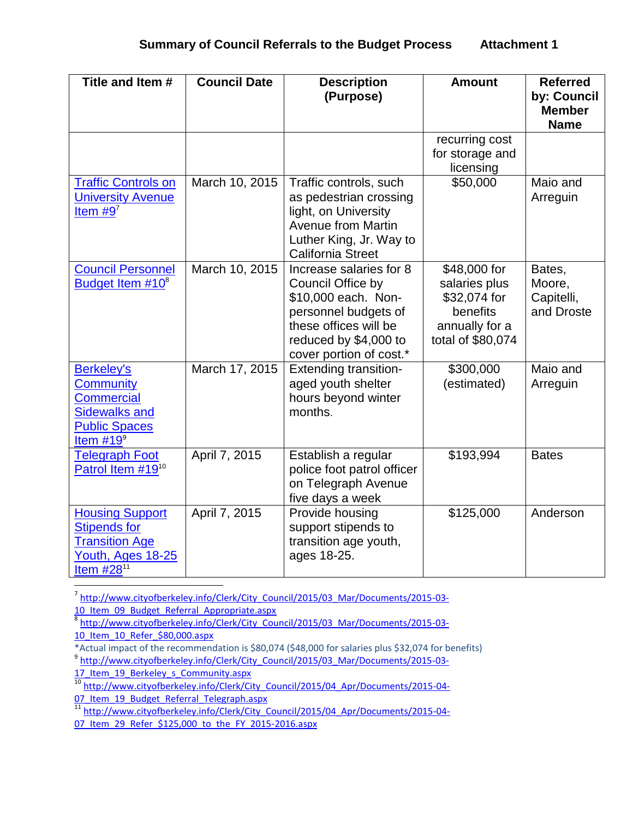| Title and Item #                                                                                                          | <b>Council Date</b> | <b>Description</b><br>(Purpose)                                                                                                                                          | <b>Amount</b>                                                                                    | <b>Referred</b><br>by: Council<br><b>Member</b><br><b>Name</b> |
|---------------------------------------------------------------------------------------------------------------------------|---------------------|--------------------------------------------------------------------------------------------------------------------------------------------------------------------------|--------------------------------------------------------------------------------------------------|----------------------------------------------------------------|
|                                                                                                                           |                     |                                                                                                                                                                          | recurring cost<br>for storage and<br>licensing                                                   |                                                                |
| <b>Traffic Controls on</b><br><b>University Avenue</b><br>Item $#9^7$                                                     | March 10, 2015      | Traffic controls, such<br>as pedestrian crossing<br>light, on University<br><b>Avenue from Martin</b><br>Luther King, Jr. Way to<br><b>California Street</b>             | \$50,000                                                                                         | Maio and<br>Arreguin                                           |
| <b>Council Personnel</b><br>Budget Item #10 <sup>8</sup>                                                                  | March 10, 2015      | Increase salaries for 8<br>Council Office by<br>\$10,000 each. Non-<br>personnel budgets of<br>these offices will be<br>reduced by \$4,000 to<br>cover portion of cost.* | \$48,000 for<br>salaries plus<br>\$32,074 for<br>benefits<br>annually for a<br>total of \$80,074 | Bates,<br>Moore,<br>Capitelli,<br>and Droste                   |
| <b>Berkeley's</b><br><b>Community</b><br><b>Commercial</b><br><b>Sidewalks and</b><br><b>Public Spaces</b><br>Item $#199$ | March 17, 2015      | <b>Extending transition-</b><br>aged youth shelter<br>hours beyond winter<br>months.                                                                                     | \$300,000<br>(estimated)                                                                         | Maio and<br>Arreguin                                           |
| <b>Telegraph Foot</b><br>Patrol Item #19 <sup>10</sup>                                                                    | April 7, 2015       | Establish a regular<br>police foot patrol officer<br>on Telegraph Avenue<br>five days a week                                                                             | \$193,994                                                                                        | <b>Bates</b>                                                   |
| <b>Housing Support</b><br><b>Stipends for</b><br><b>Transition Age</b><br>Youth, Ages 18-25<br>Item #28 <sup>11</sup>     | April 7, 2015       | Provide housing<br>support stipends to<br>transition age youth,<br>ages 18-25.                                                                                           | \$125,000                                                                                        | Anderson                                                       |

 7 [http://www.cityofberkeley.info/Clerk/City\\_Council/2015/03\\_Mar/Documents/2015-03-](http://www.cityofberkeley.info/Clerk/City_Council/2015/03_Mar/Documents/2015-03-10_Item_09_Budget_Referral_Appropriate.aspx) 10 Item 09 Budget Referral Appropriate.aspx

\*Actual impact of the recommendation is \$80,074 (\$48,000 for salaries plus \$32,074 for benefits)

<sup>&</sup>lt;sup>8</sup> http://www.cityofberkeley.info/Clerk/City Council/2015/03 Mar/Documents/2015-03-[10\\_Item\\_10\\_Refer\\_\\$80,000.aspx](http://www.cityofberkeley.info/Clerk/City_Council/2015/03_Mar/Documents/2015-03-10_Item_10_Refer_$80,000.aspx)

<sup>&</sup>lt;sup>9</sup> http://www.cityofberkeley.info/Clerk/City Council/2015/03 Mar/Documents/2015-03-

<sup>17</sup> Item 19 Berkeley s Community.aspx

<sup>&</sup>lt;sup>10</sup> [http://www.cityofberkeley.info/Clerk/City\\_Council/2015/04\\_Apr/Documents/2015-04-](http://www.cityofberkeley.info/Clerk/City_Council/2015/04_Apr/Documents/2015-04-07_Item_19_Budget_Referral_Telegraph.aspx) 07 Item\_19\_Budget\_Referral\_Telegraph.aspx

<sup>&</sup>lt;sup>11</sup> [http://www.cityofberkeley.info/Clerk/City\\_Council/2015/04\\_Apr/Documents/2015-04-](http://www.cityofberkeley.info/Clerk/City_Council/2015/04_Apr/Documents/2015-04-07_Item_29_Refer_$125,000_to_the_FY_2015-2016.aspx) 07 Item 29 Refer \$125,000 to the FY 2015-2016.aspx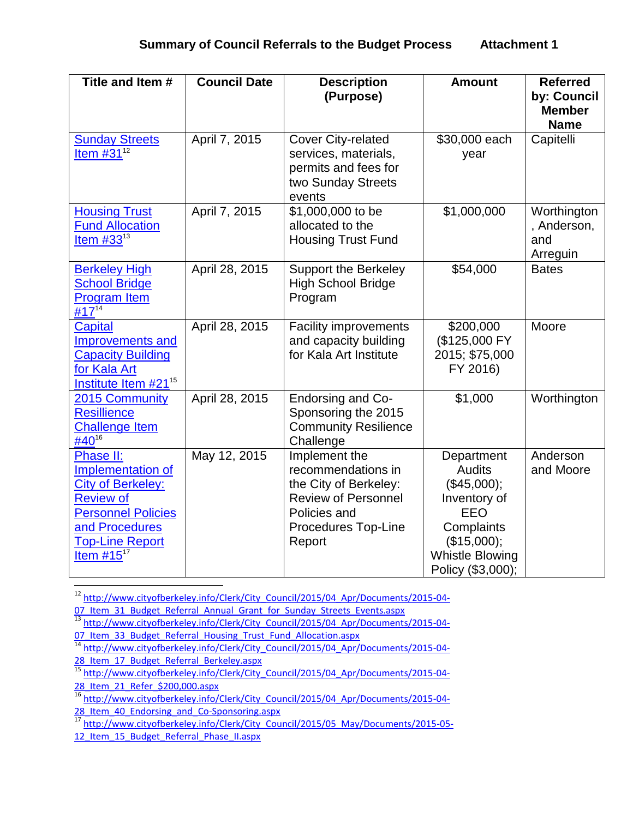| Title and Item #                                                                                                                                                           | <b>Council Date</b> | <b>Description</b><br>(Purpose)                                                                                                             | <b>Amount</b>                                                                                                                                 | <b>Referred</b><br>by: Council<br><b>Member</b><br><b>Name</b> |
|----------------------------------------------------------------------------------------------------------------------------------------------------------------------------|---------------------|---------------------------------------------------------------------------------------------------------------------------------------------|-----------------------------------------------------------------------------------------------------------------------------------------------|----------------------------------------------------------------|
| <b>Sunday Streets</b><br>Item $#31^{12}$                                                                                                                                   | April 7, 2015       | <b>Cover City-related</b><br>services, materials,<br>permits and fees for<br>two Sunday Streets<br>events                                   | \$30,000 each<br>year                                                                                                                         | Capitelli                                                      |
| <b>Housing Trust</b><br><b>Fund Allocation</b><br>Item $#33^{13}$                                                                                                          | April 7, 2015       | \$1,000,000 to be<br>allocated to the<br><b>Housing Trust Fund</b>                                                                          | \$1,000,000                                                                                                                                   | Worthington<br>, Anderson,<br>and<br>Arreguin                  |
| <b>Berkeley High</b><br><b>School Bridge</b><br><b>Program Item</b><br>#17 <sup>14</sup>                                                                                   | April 28, 2015      | <b>Support the Berkeley</b><br><b>High School Bridge</b><br>Program                                                                         | \$54,000                                                                                                                                      | <b>Bates</b>                                                   |
| <b>Capital</b><br><b>Improvements and</b><br><b>Capacity Building</b><br>for Kala Art<br>Institute Item #21 <sup>15</sup>                                                  | April 28, 2015      | <b>Facility improvements</b><br>and capacity building<br>for Kala Art Institute                                                             | \$200,000<br>(\$125,000 FY<br>2015; \$75,000<br>FY 2016)                                                                                      | Moore                                                          |
| 2015 Community<br><b>Resillience</b><br><b>Challenge Item</b><br>#40 <sup>16</sup>                                                                                         | April 28, 2015      | Endorsing and Co-<br>Sponsoring the 2015<br><b>Community Resilience</b><br>Challenge                                                        | \$1,000                                                                                                                                       | Worthington                                                    |
| Phase II:<br>Implementation of<br><b>City of Berkeley:</b><br><b>Review of</b><br><b>Personnel Policies</b><br>and Procedures<br><b>Top-Line Report</b><br>Item $#15^{17}$ | May 12, 2015        | Implement the<br>recommendations in<br>the City of Berkeley:<br><b>Review of Personnel</b><br>Policies and<br>Procedures Top-Line<br>Report | Department<br><b>Audits</b><br>(\$45,000);<br>Inventory of<br>EEO<br>Complaints<br>(\$15,000);<br><b>Whistle Blowing</b><br>Policy (\$3,000): | Anderson<br>and Moore                                          |

<sup>12</sup> [http://www.cityofberkeley.info/Clerk/City\\_Council/2015/04\\_Apr/Documents/2015-04-](http://www.cityofberkeley.info/Clerk/City_Council/2015/04_Apr/Documents/2015-04-07_Item_31_Budget_Referral_Annual_Grant_for_Sunday_Streets_Events.aspx) 07 Item 31 Budget Referral Annual Grant for Sunday Streets Events.aspx

<sup>13</sup> [http://www.cityofberkeley.info/Clerk/City\\_Council/2015/04\\_Apr/Documents/2015-04-](http://www.cityofberkeley.info/Clerk/City_Council/2015/04_Apr/Documents/2015-04-07_Item_33_Budget_Referral_Housing_Trust_Fund_Allocation.aspx) 07 Item 33 Budget Referral Housing Trust Fund Allocation.aspx

14 [http://www.cityofberkeley.info/Clerk/City\\_Council/2015/04\\_Apr/Documents/2015-04-](http://www.cityofberkeley.info/Clerk/City_Council/2015/04_Apr/Documents/2015-04-28_Item_17_Budget_Referral_Berkeley.aspx) 28 Item 17 Budget Referral Berkeley.aspx

<sup>&</sup>lt;sup>15</sup> [http://www.cityofberkeley.info/Clerk/City\\_Council/2015/04\\_Apr/Documents/2015-04-](http://www.cityofberkeley.info/Clerk/City_Council/2015/04_Apr/Documents/2015-04-28_Item_21_Refer_$200,000.aspx) [28\\_Item\\_21\\_Refer\\_\\$200,000.aspx](http://www.cityofberkeley.info/Clerk/City_Council/2015/04_Apr/Documents/2015-04-28_Item_21_Refer_$200,000.aspx)

<sup>&</sup>lt;sup>16</sup> [http://www.cityofberkeley.info/Clerk/City\\_Council/2015/04\\_Apr/Documents/2015-04-](http://www.cityofberkeley.info/Clerk/City_Council/2015/04_Apr/Documents/2015-04-28_Item_40_Endorsing_and_Co-Sponsoring.aspx) [28\\_Item\\_40\\_Endorsing\\_and\\_Co-Sponsoring.aspx](http://www.cityofberkeley.info/Clerk/City_Council/2015/04_Apr/Documents/2015-04-28_Item_40_Endorsing_and_Co-Sponsoring.aspx)<br>17 http://www.stic.com/2010/00-Sponsoring.aspx

[http://www.cityofberkeley.info/Clerk/City\\_Council/2015/05\\_May/Documents/2015-05-](http://www.cityofberkeley.info/Clerk/City_Council/2015/05_May/Documents/2015-05-12_Item_15_Budget_Referral_Phase_II.aspx) 12 Item\_15\_Budget\_Referral\_Phase\_II.aspx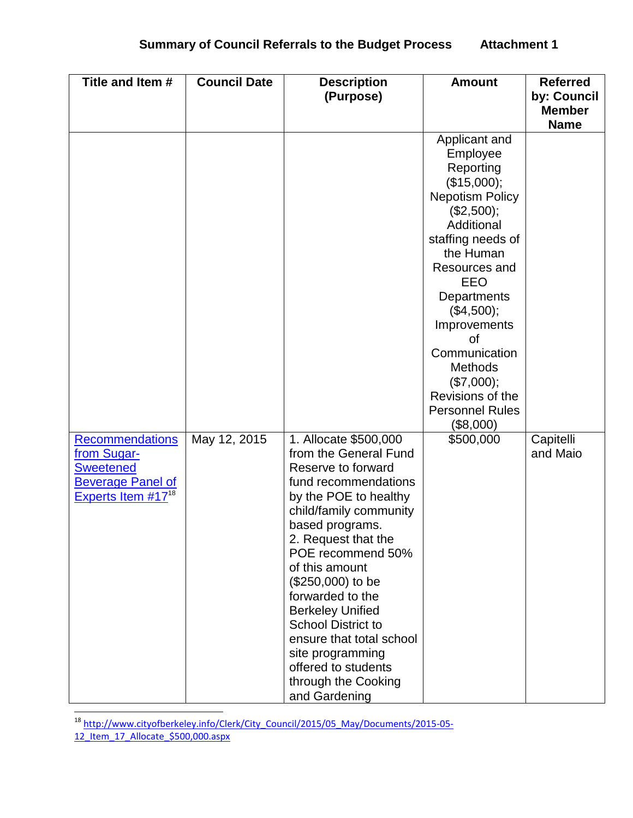| Title and Item #                                           | <b>Council Date</b> | <b>Description</b>                                    | <b>Amount</b>             | <b>Referred</b> |
|------------------------------------------------------------|---------------------|-------------------------------------------------------|---------------------------|-----------------|
|                                                            |                     | (Purpose)                                             |                           | by: Council     |
|                                                            |                     |                                                       |                           | <b>Member</b>   |
|                                                            |                     |                                                       |                           | <b>Name</b>     |
|                                                            |                     |                                                       | Applicant and<br>Employee |                 |
|                                                            |                     |                                                       | Reporting                 |                 |
|                                                            |                     |                                                       | (\$15,000);               |                 |
|                                                            |                     |                                                       | <b>Nepotism Policy</b>    |                 |
|                                                            |                     |                                                       | (\$2,500);                |                 |
|                                                            |                     |                                                       | Additional                |                 |
|                                                            |                     |                                                       | staffing needs of         |                 |
|                                                            |                     |                                                       | the Human                 |                 |
|                                                            |                     |                                                       | Resources and             |                 |
|                                                            |                     |                                                       | EEO                       |                 |
|                                                            |                     |                                                       | Departments               |                 |
|                                                            |                     |                                                       | (\$4,500);                |                 |
|                                                            |                     |                                                       | Improvements<br>Ωf        |                 |
|                                                            |                     |                                                       | Communication             |                 |
|                                                            |                     |                                                       | <b>Methods</b>            |                 |
|                                                            |                     |                                                       | (\$7,000);                |                 |
|                                                            |                     |                                                       | Revisions of the          |                 |
|                                                            |                     |                                                       | <b>Personnel Rules</b>    |                 |
|                                                            |                     |                                                       | $(\$8,000)$               |                 |
| <b>Recommendations</b>                                     | May 12, 2015        | 1. Allocate \$500,000                                 | \$500,000                 | Capitelli       |
| from Sugar-                                                |                     | from the General Fund                                 |                           | and Maio        |
| <b>Sweetened</b>                                           |                     | Reserve to forward                                    |                           |                 |
| <b>Beverage Panel of</b><br>Experts Item #17 <sup>18</sup> |                     | fund recommendations                                  |                           |                 |
|                                                            |                     | by the POE to healthy<br>child/family community       |                           |                 |
|                                                            |                     | based programs.                                       |                           |                 |
|                                                            |                     | 2. Request that the                                   |                           |                 |
|                                                            |                     | POE recommend 50%                                     |                           |                 |
|                                                            |                     | of this amount                                        |                           |                 |
|                                                            |                     | (\$250,000) to be                                     |                           |                 |
|                                                            |                     | forwarded to the                                      |                           |                 |
|                                                            |                     | <b>Berkeley Unified</b>                               |                           |                 |
|                                                            |                     | <b>School District to</b><br>ensure that total school |                           |                 |
|                                                            |                     | site programming                                      |                           |                 |
|                                                            |                     | offered to students                                   |                           |                 |
|                                                            |                     | through the Cooking                                   |                           |                 |
|                                                            |                     | and Gardening                                         |                           |                 |

<sup>&</sup>lt;sup>18</sup> [http://www.cityofberkeley.info/Clerk/City\\_Council/2015/05\\_May/Documents/2015-05-](http://www.cityofberkeley.info/Clerk/City_Council/2015/05_May/Documents/2015-05-12_Item_17_Allocate_$500,000.aspx) [12\\_Item\\_17\\_Allocate\\_\\$500,000.aspx](http://www.cityofberkeley.info/Clerk/City_Council/2015/05_May/Documents/2015-05-12_Item_17_Allocate_$500,000.aspx)

 $\overline{\phantom{a}}$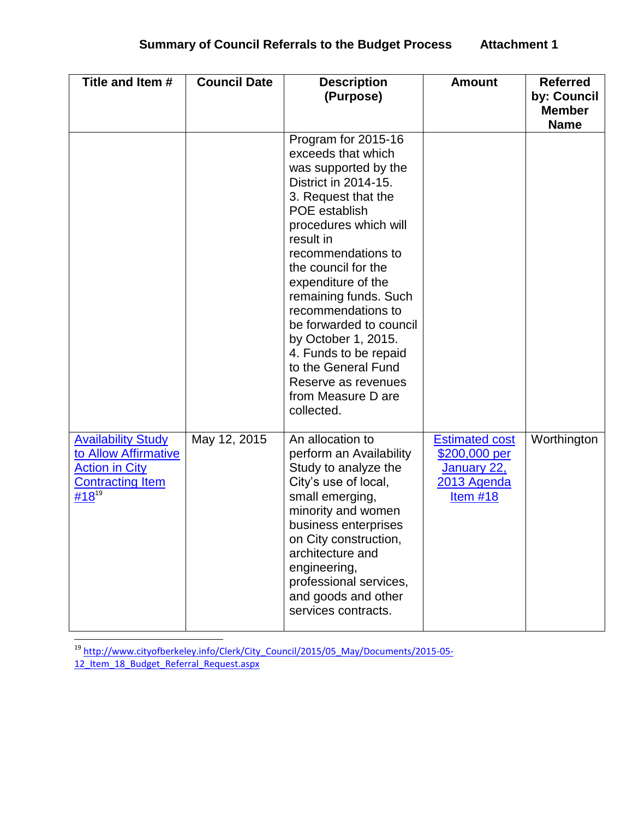| Title and Item #                                                                                                               | <b>Council Date</b> | <b>Description</b><br>(Purpose)                                                                                                                                                                                                                                                                                                                                                                                                                               | <b>Amount</b>                                                                             | <b>Referred</b><br>by: Council<br><b>Member</b><br><b>Name</b> |
|--------------------------------------------------------------------------------------------------------------------------------|---------------------|---------------------------------------------------------------------------------------------------------------------------------------------------------------------------------------------------------------------------------------------------------------------------------------------------------------------------------------------------------------------------------------------------------------------------------------------------------------|-------------------------------------------------------------------------------------------|----------------------------------------------------------------|
|                                                                                                                                |                     | Program for 2015-16<br>exceeds that which<br>was supported by the<br>District in 2014-15.<br>3. Request that the<br><b>POE</b> establish<br>procedures which will<br>result in<br>recommendations to<br>the council for the<br>expenditure of the<br>remaining funds. Such<br>recommendations to<br>be forwarded to council<br>by October 1, 2015.<br>4. Funds to be repaid<br>to the General Fund<br>Reserve as revenues<br>from Measure D are<br>collected. |                                                                                           |                                                                |
| <b>Availability Study</b><br>to Allow Affirmative<br><b>Action in City</b><br><b>Contracting Item</b><br>$\frac{\#18^{19}}{2}$ | May 12, 2015        | An allocation to<br>perform an Availability<br>Study to analyze the<br>City's use of local,<br>small emerging,<br>minority and women<br>business enterprises<br>on City construction,<br>architecture and<br>engineering,<br>professional services,<br>and goods and other<br>services contracts.                                                                                                                                                             | <b>Estimated cost</b><br><u>\$200,000 per</u><br>January 22,<br>2013 Agenda<br>Item $#18$ | Worthington                                                    |

 $\overline{\phantom{a}}$ <sup>19</sup> [http://www.cityofberkeley.info/Clerk/City\\_Council/2015/05\\_May/Documents/2015-05-](http://www.cityofberkeley.info/Clerk/City_Council/2015/05_May/Documents/2015-05-12_Item_18_Budget_Referral_Request.aspx) 12 Item 18 Budget Referral Request.aspx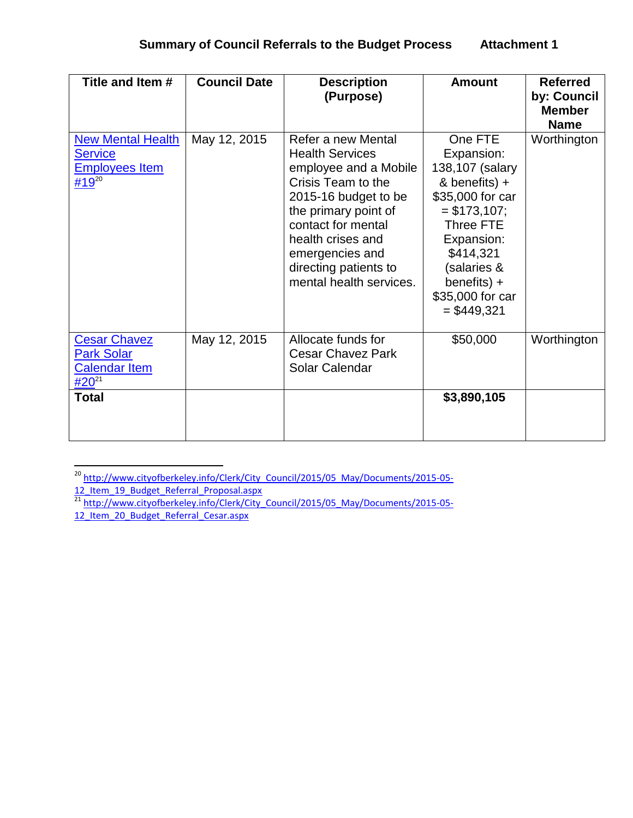## **Summary of Council Referrals to the Budget Process Attachment 1**

| Title and Item #                                                                | <b>Council Date</b> | <b>Description</b><br>(Purpose)                                                                                                                                                                                                                               | <b>Amount</b>                                                                                                                                                                                               | <b>Referred</b><br>by: Council<br><b>Member</b><br><b>Name</b> |
|---------------------------------------------------------------------------------|---------------------|---------------------------------------------------------------------------------------------------------------------------------------------------------------------------------------------------------------------------------------------------------------|-------------------------------------------------------------------------------------------------------------------------------------------------------------------------------------------------------------|----------------------------------------------------------------|
| <b>New Mental Health</b><br><b>Service</b><br><b>Employees Item</b><br>#19 $20$ | May 12, 2015        | Refer a new Mental<br><b>Health Services</b><br>employee and a Mobile<br>Crisis Team to the<br>2015-16 budget to be<br>the primary point of<br>contact for mental<br>health crises and<br>emergencies and<br>directing patients to<br>mental health services. | One FTE<br>Expansion:<br>138,107 (salary<br>& benefits) +<br>\$35,000 for car<br>$= $173,107;$<br>Three FTE<br>Expansion:<br>\$414,321<br>(salaries &<br>benefits) $+$<br>\$35,000 for car<br>$=$ \$449,321 | Worthington                                                    |
| <b>Cesar Chavez</b><br><b>Park Solar</b><br><b>Calendar Item</b><br>$#20^{21}$  | May 12, 2015        | Allocate funds for<br><b>Cesar Chavez Park</b><br>Solar Calendar                                                                                                                                                                                              | \$50,000                                                                                                                                                                                                    | Worthington                                                    |
| <b>Total</b>                                                                    |                     |                                                                                                                                                                                                                                                               | \$3,890,105                                                                                                                                                                                                 |                                                                |

 $\overline{a}$ <sup>20</sup> [http://www.cityofberkeley.info/Clerk/City\\_Council/2015/05\\_May/Documents/2015-05-](http://www.cityofberkeley.info/Clerk/City_Council/2015/05_May/Documents/2015-05-12_Item_19_Budget_Referral_Proposal.aspx) 12 Item 19 Budget Referral Proposal.aspx

<sup>&</sup>lt;sup>21</sup> [http://www.cityofberkeley.info/Clerk/City\\_Council/2015/05\\_May/Documents/2015-05-](http://www.cityofberkeley.info/Clerk/City_Council/2015/05_May/Documents/2015-05-12_Item_20_Budget_Referral_Cesar.aspx) [12\\_Item\\_20\\_Budget\\_Referral\\_Cesar.aspx](http://www.cityofberkeley.info/Clerk/City_Council/2015/05_May/Documents/2015-05-12_Item_20_Budget_Referral_Cesar.aspx)